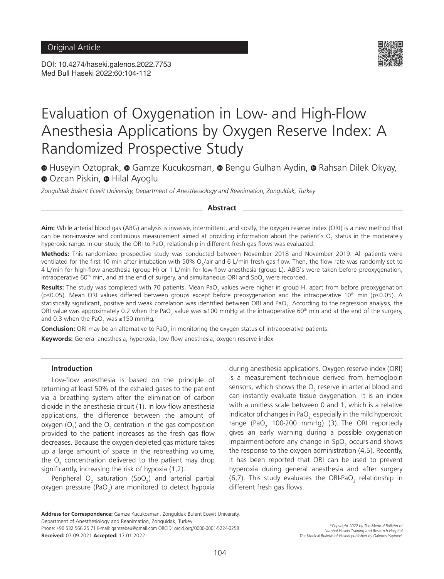DOI: 10.4274/haseki.galenos.2022.7753 Med Bull Haseki 2022;60:104-112



# Evaluation of Oxygenation in Low- and High-Flow Anesthesia Applications by Oxygen Reserve Index: A Randomized Prospective Study

 $\bullet$ Huseyin Oztoprak,  $\bullet$  Gamze Kucukosman,  $\bullet$  Bengu Gulhan Aydin,  $\bullet$  Rahsan Dilek Okyay, **■**Ozcan Piskin, ■ Hilal Ayoglu

*Zonguldak Bulent Ecevit University, Department of Anesthesiology and Reanimation, Zonguldak, Turkey*

**Abstract**

**Aim:** While arterial blood gas (ABG) analysis is invasive, intermittent, and costly, the oxygen reserve index (ORI) is a new method that can be non-invasive and continuous measurement aimed at providing information about the patient's  $\rm O_{_2}$  status in the moderately hyperoxic range. In our study, the ORI to PaO<sub>2</sub> relationship in different fresh gas flows was evaluated.

**Methods:** This randomized prospective study was conducted between November 2018 and November 2019. All patients were ventilated for the first 10 min after intubation with 50% O<sub>2</sub>/air and 6 L/min fresh gas flow. Then, the flow rate was randomly set to 4 L/min for high-flow anesthesia (group H) or 1 L/min for low-flow anesthesia (group L). ABG's were taken before preoxygenation, intraoperative 60<sup>th</sup> min, and at the end of surgery, and simultaneous ORI and SpO<sub>2</sub> were recorded.

**Results:** The study was completed with 70 patients. Mean PaO<sub>2</sub> values were higher in group H, apart from before preoxygenation (p<0.05). Mean ORI values differed between groups except before preoxygenation and the intraoperative 10<sup>th</sup> min (p<0.05). A statistically significant, positive and weak correlation was identified between ORI and PaO<sub>2</sub>. According to the regression analysis, the ORI value was approximately 0.2 when the PaO<sub>2</sub> value was ≥100 mmHg at the intraoperative 60<sup>th</sup> min and at the end of the surgery, and 0.3 when the PaO<sub>2</sub> was ≥150 mmHg.

**Conclusion:** ORI may be an alternative to PaO<sub>2</sub> in monitoring the oxygen status of intraoperative patients.

**Keywords:** General anesthesia, hyperoxia, low flow anesthesia, oxygen reserve index

## **Introduction**

Low-flow anesthesia is based on the principle of returning at least 50% of the exhaled gases to the patient via a breathing system after the elimination of carbon dioxide in the anesthesia circuit (1). In low-flow anesthesia applications, the difference between the amount of oxygen (O<sub>2</sub>) and the O<sub>2</sub> centration in the gas composition provided to the patient increases as the fresh gas flow decreases. Because the oxygen-depleted gas mixture takes up a large amount of space in the rebreathing volume, the  $\mathrm{O}_2^{\mathrm{}}$  concentration delivered to the patient may drop significantly, increasing the risk of hypoxia (1,2).

Peripheral  $O_2$  saturation (SpO<sub>2</sub>) and arterial partial oxygen pressure (PaO<sub>2</sub>) are monitored to detect hypoxia during anesthesia applications. Oxygen reserve index (ORI) is a measurement technique derived from hemoglobin sensors, which shows the  $\overline{O}_2$  reserve in arterial blood and can instantly evaluate tissue oxygenation. It is an index with a unitless scale between 0 and 1, which is a relative indicator of changes in PaO<sub>2</sub> especially in the mild hyperoxic range (PaO<sub>2</sub> 100-200 mmHg) (3). The ORI reportedly gives an early warning during a possible oxygenation impairment-before any change in  $\text{SpO}_2$  occurs-and shows the response to the oxygen administration (4,5). Recently, it has been reported that ORI can be used to prevent hyperoxia during general anesthesia and after surgery (6,7). This study evaluates the ORI-PaO<sub>2</sub> relationship in different fresh gas flows.

**Address for Correspondence:** Gamze Kucukosman, Zonguldak Bulent Ecevit University, Department of Anesthesiology and Reanimation, Zonguldak, Turkey Phone: +90 532 566 25 71 E-mail: gamzebeu@gmail.com ORCID: orcid.org/0000-0001-5224-0258 **Received:** 07.09.2021 **Accepted:** 17.01.2022

*©Copyright 2022 by The Medical Bulletin of Istanbul Haseki Training and Research Hospital The Medical Bulletin of Haseki published by Galenos Yayinevi.*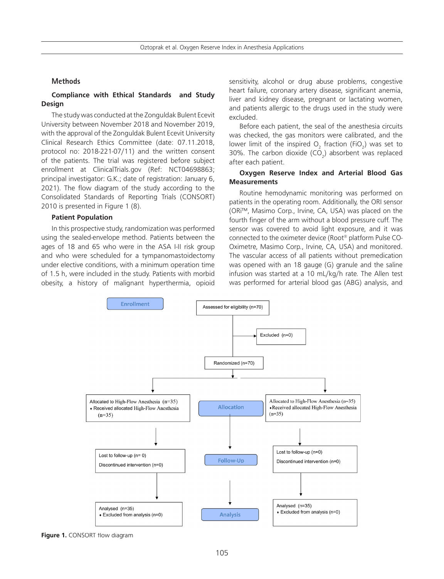## **Methods**

## **Compliance with Ethical Standards and Study Design**

The study was conducted at the Zonguldak Bulent Ecevit University between November 2018 and November 2019, with the approval of the Zonguldak Bulent Ecevit University Clinical Research Ethics Committee (date: 07.11.2018, protocol no: 2018-221-07/11) and the written consent of the patients. The trial was registered before subject enrollment at ClinicalTrials.gov (Ref: NCT04698863; principal investigator: G.K.; date of registration: January 6, 2021). The flow diagram of the study according to the Consolidated Standards of Reporting Trials (CONSORT) 2010 is presented in Figure 1 (8).

## **Patient Population**

In this prospective study, randomization was performed using the sealed-envelope method. Patients between the ages of 18 and 65 who were in the ASA I-II risk group and who were scheduled for a tympanomastoidectomy under elective conditions, with a minimum operation time of 1.5 h, were included in the study. Patients with morbid obesity, a history of malignant hyperthermia, opioid

sensitivity, alcohol or drug abuse problems, congestive heart failure, coronary artery disease, significant anemia, liver and kidney disease, pregnant or lactating women, and patients allergic to the drugs used in the study were excluded.

Before each patient, the seal of the anesthesia circuits was checked, the gas monitors were calibrated, and the lower limit of the inspired  $O_2$  fraction (FiO<sub>2</sub>) was set to 30%. The carbon dioxide  $(CO<sub>2</sub>)$  absorbent was replaced after each patient.

## **Oxygen Reserve Index and Arterial Blood Gas Measurements**

Routine hemodynamic monitoring was performed on patients in the operating room. Additionally, the ORI sensor (ORi™, Masimo Corp., Irvine, CA, USA) was placed on the fourth finger of the arm without a blood pressure cuff. The sensor was covered to avoid light exposure, and it was connected to the oximeter device (Root® platform Pulse CO-Oximetre, Masimo Corp., Irvine, CA, USA) and monitored. The vascular access of all patients without premedication was opened with an 18 gauge (G) granule and the saline infusion was started at a 10 mL/kg/h rate. The Allen test was performed for arterial blood gas (ABG) analysis, and



**Figure 1.** CONSORT flow diagram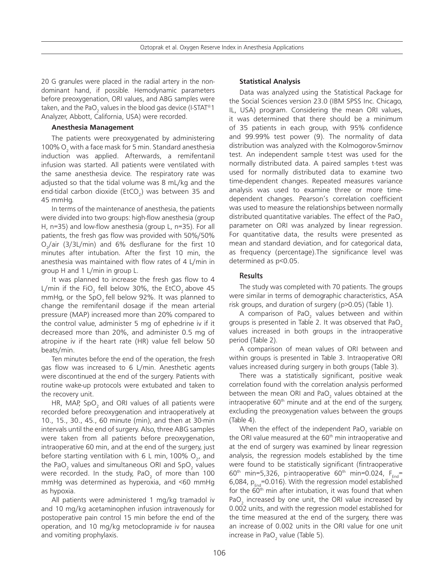20 G granules were placed in the radial artery in the nondominant hand, if possible. Hemodynamic parameters before preoxygenation, ORI values, and ABG samples were taken, and the PaO $_2$  values in the blood gas device (I-STAT®1  $\,$ Analyzer, Abbott, California, USA) were recorded.

## **Anesthesia Management**

The patients were preoxygenated by administering 100%  $\overline{O}_2$  with a face mask for 5 min. Standard anesthesia induction was applied. Afterwards, a remifentanil infusion was started. All patients were ventilated with the same anesthesia device. The respiratory rate was adjusted so that the tidal volume was 8 mL/kg and the end-tidal carbon dioxide (EtCO $_{\textrm{\tiny{2}}}$ ) was between 35 and 45 mmHg.

In terms of the maintenance of anesthesia, the patients were divided into two groups: high-flow anesthesia (group H, n=35) and low-flow anesthesia (group L, n=35). For all patients, the fresh gas flow was provided with 50%/50%  $O_2$ /air (3/3L/min) and 6% desflurane for the first 10 minutes after intubation. After the first 10 min, the anesthesia was maintained with flow rates of 4 L/min in group H and 1 L/min in group L.

It was planned to increase the fresh gas flow to 4 L/min if the FiO<sub>2</sub> fell below 30%, the EtCO<sub>2</sub> above 45 mmHg, or the SpO<sub>2</sub> fell below 92%. It was planned to change the remifentanil dosage if the mean arterial pressure (MAP) increased more than 20% compared to the control value, administer 5 mg of ephedrine iv if it decreased more than 20%, and administer 0.5 mg of atropine iv if the heart rate (HR) value fell below 50 beats/min.

Ten minutes before the end of the operation, the fresh gas flow was increased to 6 L/min. Anesthetic agents were discontinued at the end of the surgery. Patients with routine wake-up protocols were extubated and taken to the recovery unit.

HR, MAP, SpO<sub>2</sub> and ORI values of all patients were recorded before preoxygenation and intraoperatively at 10., 15., 30., 45., 60 minute (min), and then at 30-min intervals until the end of surgery. Also, three ABG samples were taken from all patients before preoxygenation, intraoperative 60 min, and at the end of the surgery, just before starting ventilation with 6 L min, 100%  $O_2$ , and the PaO<sub>2</sub> values and simultaneous ORI and SpO<sub>2</sub> values were recorded. In the study, PaO<sub>2</sub> of more than 100 mmHg was determined as hyperoxia, and <60 mmHg as hypoxia.

All patients were administered 1 mg/kg tramadol iv and 10 mg/kg acetaminophen infusion intravenously for postoperative pain control 15 min before the end of the operation, and 10 mg/kg metoclopramide iv for nausea and vomiting prophylaxis.

## **Statistical Analysis**

Data was analyzed using the Statistical Package for the Social Sciences version 23.0 (IBM SPSS Inc. Chicago, IL, USA) program. Considering the mean ORI values, it was determined that there should be a minimum of 35 patients in each group, with 95% confidence and 99.99% test power (9). The normality of data distribution was analyzed with the Kolmogorov-Smirnov test. An independent sample t-test was used for the normally distributed data. A paired samples t-test was used for normally distributed data to examine two time-dependent changes. Repeated measures variance analysis was used to examine three or more timedependent changes. Pearson's correlation coefficient was used to measure the relationships between normally distributed quantitative variables. The effect of the PaO<sub>2</sub> parameter on ORI was analyzed by linear regression. For quantitative data, the results were presented as mean and standard deviation, and for categorical data, as frequency (percentage).The significance level was determined as p<0.05.

## **Results**

The study was completed with 70 patients. The groups were similar in terms of demographic characteristics, ASA risk groups, and duration of surgery (p>0.05) (Table 1).

A comparison of PaO<sub>2</sub> values between and within groups is presented in Table 2. It was observed that PaO<sub>2</sub> values increased in both groups in the intraoperative period (Table 2).

A comparison of mean values of ORI between and within groups is presented in Table 3. Intraoperative ORI values increased during surgery in both groups (Table 3).

There was a statistically significant, positive weak correlation found with the correlation analysis performed between the mean ORI and PaO<sub>2</sub> values obtained at the intraoperative  $60<sup>th</sup>$  minute and at the end of the surgery, excluding the preoxygenation values between the groups (Table 4).

When the effect of the independent PaO<sub>2</sub> variable on the ORI value measured at the  $60<sup>th</sup>$  min intraoperative and at the end of surgery was examined by linear regression analysis, the regression models established by the time were found to be statistically significant (fintraoperative 60<sup>th</sup> min=5,326, pintraoperative 60<sup>th</sup> min=0.024,  $F_{\text{end}}$ 6,084,  $p_{\text{End}}$ =0.016). With the regression model established for the  $60<sup>th</sup>$  min after intubation, it was found that when PaO<sub>2</sub> increased by one unit, the ORI value increased by 0.002 units, and with the regression model established for the time measured at the end of the surgery, there was an increase of 0.002 units in the ORI value for one unit increase in Pa $O_2$  value (Table 5).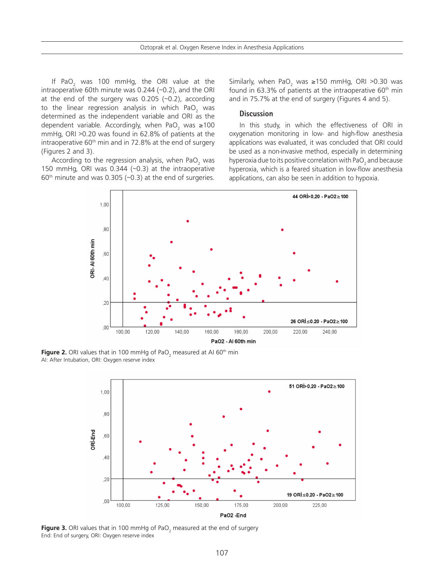If  $PaO<sub>2</sub>$  was 100 mmHg, the ORI value at the intraoperative 60th minute was 0.244  $(-0.2)$ , and the ORI at the end of the surgery was  $0.205$  (~0.2), according to the linear regression analysis in which PaO<sub>2</sub> was determined as the independent variable and ORI as the dependent variable. Accordingly, when PaO<sub>2</sub> was ≥100 mmHg, ORI >0.20 was found in 62.8% of patients at the intraoperative  $60<sup>th</sup>$  min and in 72.8% at the end of surgery (Figures 2 and 3).

According to the regression analysis, when PaO<sub>2</sub> was 150 mmHg, ORI was 0.344 (~0.3) at the intraoperative  $60<sup>th</sup>$  minute and was 0.305 ( $\sim$ 0.3) at the end of surgeries.

Similarly, when PaO<sub>2</sub> was ≥150 mmHg, ORI >0.30 was found in  $63.3\%$  of patients at the intraoperative  $60<sup>th</sup>$  min and in 75.7% at the end of surgery (Figures 4 and 5).

## **Discussion**

In this study, in which the effectiveness of ORI in oxygenation monitoring in low- and high-flow anesthesia applications was evaluated, it was concluded that ORI could be used as a non-invasive method, especially in determining hyperoxia due to its positive correlation with PaO<sub>2</sub> and because hyperoxia, which is a feared situation in low-flow anesthesia applications, can also be seen in addition to hypoxia.



**Figure 2.** ORI values that in 100 mmHg of PaO<sub>2</sub> measured at AI 60<sup>th</sup> min AI: After Intubation, ORI: Oxygen reserve index



**Figure 3.** ORI values that in 100 mmHg of PaO<sub>2</sub> measured at the end of surgery End: End of surgery, ORI: Oxygen reserve index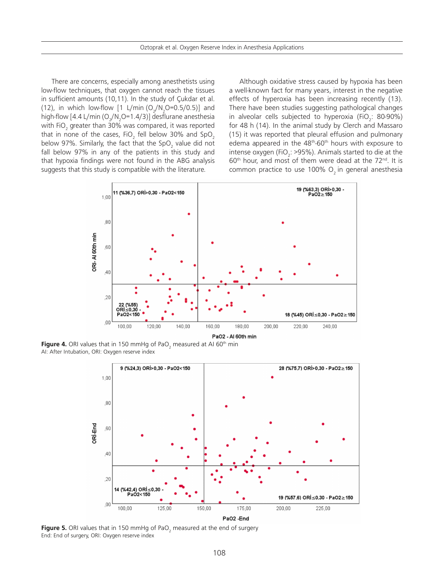Oztoprak et al. Oxygen Reserve Index in Anesthesia Applications

There are concerns, especially among anesthetists using low-flow techniques, that oxygen cannot reach the tissues in sufficient amounts (10,11). In the study of Çukdar et al. (12), in which low-flow [1 L/min (O<sub>2</sub>/N<sub>2</sub>O=0.5/0.5)] and high-flow [4.4 L/min (O<sub>2</sub>/N<sub>2</sub>O=1.4/3)] desflurane anesthesia with FiO<sub>2</sub> greater than 30% was compared, it was reported that in none of the cases, FiO<sub>2</sub> fell below 30% and SpO<sub>2</sub> below 97%. Similarly, the fact that the SpO $_{_2}$  value did not fall below 97% in any of the patients in this study and that hypoxia findings were not found in the ABG analysis suggests that this study is compatible with the literature.

Although oxidative stress caused by hypoxia has been a well-known fact for many years, interest in the negative effects of hyperoxia has been increasing recently (13). There have been studies suggesting pathological changes in alveolar cells subjected to hyperoxia (FiO<sub>2</sub>: 80-90%) for 48 h (14). In the animal study by Clerch and Massaro (15) it was reported that pleural effusion and pulmonary edema appeared in the 48<sup>th</sup>-60<sup>th</sup> hours with exposure to intense oxygen (FiO<sub>2</sub>: >95%). Animals started to die at the  $60<sup>th</sup>$  hour, and most of them were dead at the 72 $<sup>nd</sup>$ . It is</sup> common practice to use 100%  $O<sub>2</sub>$  in general anesthesia



**Figure 4.** ORI values that in 150 mmHg of PaO<sub>2</sub> measured at AI 60<sup>th</sup> min AI: After Intubation, ORI: Oxygen reserve index



**Figure 5.** ORI values that in 150 mmHg of PaO<sub>2</sub> measured at the end of surgery End: End of surgery, ORI: Oxygen reserve index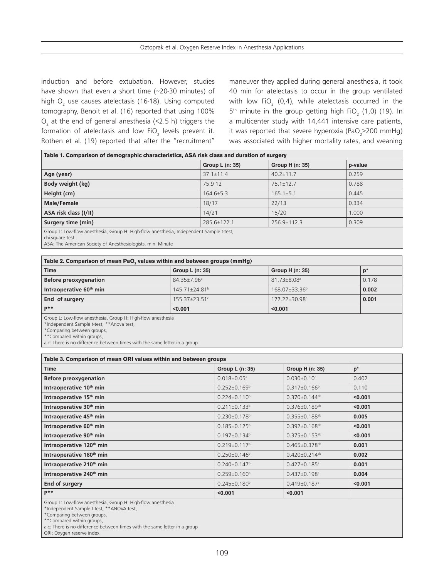induction and before extubation. However, studies have shown that even a short time (~20-30 minutes) of high  $\mathrm{O}_2^{\mathrm{}}$  use causes atelectasis (16-18). Using computed tomography, Benoit et al. (16) reported that using 100%  $O_2$  at the end of general anesthesia (<2.5 h) triggers the formation of atelectasis and low FiO<sub>2</sub> levels prevent it. Rothen et al. (19) reported that after the "recruitment"

maneuver they applied during general anesthesia, it took 40 min for atelectasis to occur in the group ventilated with low FiO<sub>2</sub> (0,4), while atelectasis occurred in the  $5<sup>th</sup>$  minute in the group getting high FiO<sub>2</sub> (1,0) (19). In a multicenter study with 14,441 intensive care patients, it was reported that severe hyperoxia (PaO<sub>2</sub>>200 mmHg) was associated with higher mortality rates, and weaning

| Table 1. Comparison of demographic characteristics, ASA risk class and duration of surgery |                 |                 |         |  |
|--------------------------------------------------------------------------------------------|-----------------|-----------------|---------|--|
|                                                                                            | Group L (n: 35) | Group H (n: 35) | p-value |  |
| Age (year)                                                                                 | $37.1 \pm 11.4$ | $40.2 \pm 11.7$ | 0.259   |  |
| Body weight (kg)                                                                           | 75.9 12         | $75.1 \pm 12.7$ | 0.788   |  |
| Height (cm)                                                                                | $164.6 \pm 5.3$ | $165.1 \pm 5.1$ | 0.445   |  |
| Male/Female                                                                                | 18/17           | 22/13           | 0.334   |  |
| ASA risk class (I/II)                                                                      | 14/21           | 15/20           | 1.000   |  |
| Surgery time (min)                                                                         | 285.6±122.1     | 256.9±112.3     | 0.309   |  |
| Group Li Low flow aposthosia Group H: High flow aposthosia Indonesiant Sample t tost       |                 |                 |         |  |

Group L: Low-flow anesthesia, Group H: High-flow anesthesia, Independent Sample t-test, chi-square test

ASA: The American Society of Anesthesiologists, min: Minute

| Table 2. Comparison of mean PaO, values within and between groups (mmHg) |                                |                           |       |  |
|--------------------------------------------------------------------------|--------------------------------|---------------------------|-------|--|
| <b>Time</b>                                                              | Group $L(n: 35)$               | Group H $(n: 35)$         | n*    |  |
| Before preoxygenation                                                    | 84.35±7.96 <sup>a</sup>        | 81.73±8.08 <sup>a</sup>   | 0.178 |  |
| Intraoperative 60 <sup>th</sup> min                                      | 145.71±24.81 <sup>b</sup>      | 168.07±33.36 <sup>b</sup> | 0.002 |  |
| End of surgery                                                           | $155.37\pm 23.51$ <sup>c</sup> | 177.22±30.98c             | 0.001 |  |
| $D$ **                                                                   | < 0.001                        | < 0.001                   |       |  |

Group L: Low-flow anesthesia, Group H: High-flow anesthesia

\*Independent Sample t-test, \*\*Anova test,

\*Comparing between groups,

\*\*Compared within groups,

a-c: There is no difference between times with the same letter in a group

| Table 3. Comparison of mean ORI values within and between groups |                                |                                 |         |  |
|------------------------------------------------------------------|--------------------------------|---------------------------------|---------|--|
| <b>Time</b>                                                      | Group L (n: 35)                | Group H (n: 35)                 | $p^*$   |  |
| Before preoxygenation                                            | $0.018 \pm 0.05$ <sup>a</sup>  | $0.030 \pm 0.10$ <sup>c</sup>   | 0.402   |  |
| Intraoperative 10 <sup>th</sup> min                              | $0.252 \pm 0.169^{\rm b}$      | $0.317 \pm 0.166^b$             | 0.110   |  |
| Intraoperative 15 <sup>th</sup> min                              | $0.224 \pm 0.110^{b}$          | $0.370 \pm 0.144$ <sup>ab</sup> | < 0.001 |  |
| Intraoperative 30th min                                          | $0.211 \pm 0.133$ <sup>b</sup> | $0.376 \pm 0.189$ <sup>ab</sup> | < 0.001 |  |
| Intraoperative 45 <sup>th</sup> min                              | $0.230 \pm 0.178$ <sup>b</sup> | $0.355 \pm 0.188$ <sup>ab</sup> | 0.005   |  |
| Intraoperative 60 <sup>th</sup> min                              | $0.185 \pm 0.125$ <sup>b</sup> | $0.392 \pm 0.168$ <sup>ab</sup> | < 0.001 |  |
| Intraoperative 90 <sup>th</sup> min                              | $0.197 \pm 0.134$ <sup>b</sup> | $0.375 \pm 0.153$ <sup>ab</sup> | < 0.001 |  |
| Intraoperative 120th min                                         | $0.219 \pm 0.117$ <sup>b</sup> | $0.465 \pm 0.378$ <sup>ab</sup> | 0.001   |  |
| Intraoperative 180 <sup>th</sup> min                             | $0.250 \pm 0.146$ <sup>b</sup> | $0.420 \pm 0.214$ <sup>ab</sup> | 0.002   |  |
| Intraoperative 210 <sup>th</sup> min                             | $0.240 \pm 0.147$ <sup>b</sup> | $0.427 \pm 0.185$ <sup>a</sup>  | 0.001   |  |
| Intraoperative 240 <sup>th</sup> min                             | $0.259 \pm 0.160^{\circ}$      | $0.437 \pm 0.198$ <sup>a</sup>  | 0.004   |  |
| End of surgery                                                   | $0.245 \pm 0.180^{\circ}$      | $0.419 \pm 0.187$ <sup>a</sup>  | < 0.001 |  |
| $P^{\star\star}$                                                 | < 0.001                        | < 0.001                         |         |  |

Group L: Low-flow anesthesia, Group H: High-flow anesthesia

\*Independent Sample t-test, \*\*ANOVA test,

\*Comparing between groups,

\*\*Compared within groups,

a-c: There is no difference between times with the same letter in a group

ORI: Oxygen reserve index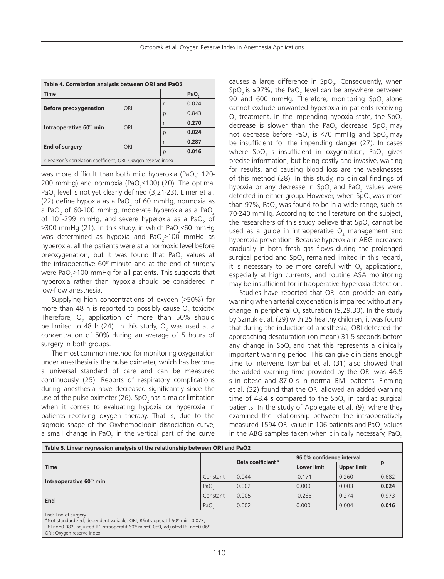| Table 4. Correlation analysis between ORI and PaO2              |     |   |                  |  |
|-----------------------------------------------------------------|-----|---|------------------|--|
| <b>Time</b>                                                     |     |   | PaO <sub>2</sub> |  |
| <b>Before preoxygenation</b>                                    | ORI |   | 0.024            |  |
|                                                                 |     | р | 0.843            |  |
| Intraoperative 60th min                                         | ORI |   | 0.270            |  |
|                                                                 |     | р | 0.024            |  |
| End of surgery                                                  | ORI |   | 0.287            |  |
|                                                                 |     | р | 0.016            |  |
| r: Pearson's correlation coefficient, ORI: Oxygen reserve index |     |   |                  |  |

was more difficult than both mild hyperoxia (PaO $_2^{\cdot}$ : 120-200 mmHg) and normoxia (PaO<sub>2</sub><100) (20). The optimal PaO<sub>2</sub> level is not yet clearly defined (3,21-23). Elmer et al. (22) define hypoxia as a PaO<sub>2</sub> of 60 mmHg, normoxia as a PaO $_2$  of 60-100 mmHg, moderate hyperoxia as a PaO $_2$ of 101-299 mmHg, and severe hyperoxia as a PaO<sub>2</sub> of >300 mmHg (21). In this study, in which PaO<sub>2</sub><60 mmHg was determined as hypoxia and PaO<sub>2</sub>>100 mmHg as hyperoxia, all the patients were at a normoxic level before preoxygenation, but it was found that PaO<sub>2</sub> values at the intraoperative  $60<sup>th</sup>$  minute and at the end of surgery were PaO<sub>2</sub>>100 mmHg for all patients. This suggests that hyperoxia rather than hypoxia should be considered in low-flow anesthesia.

Supplying high concentrations of oxygen (>50%) for more than 48 h is reported to possibly cause  $\mathrm{O}_2^{\mathrm{}}$  toxicity. Therefore,  $\overline{\mathrm{O}}_{\mathrm{2}}$  application of more than 50% should be limited to 48 h (24). In this study,  $\overline{O}_2$  was used at a concentration of 50% during an average of 5 hours of surgery in both groups.

The most common method for monitoring oxygenation under anesthesia is the pulse oximeter, which has become a universal standard of care and can be measured continuously (25). Reports of respiratory complications during anesthesia have decreased significantly since the use of the pulse oximeter (26). SpO<sub>2</sub> has a major limitation when it comes to evaluating hypoxia or hyperoxia in patients receiving oxygen therapy. That is, due to the sigmoid shape of the Oxyhemoglobin dissociation curve, a small change in PaO $_2$  in the vertical part of the curve

causes a large difference in  $SpO<sub>2</sub>$ . Consequently, when  $SpO<sub>2</sub>$  is ≥97%, the PaO<sub>2</sub> level can be anywhere between 90 and 600 mmHg. Therefore, monitoring SpO<sub>2</sub> alone cannot exclude unwanted hyperoxia in patients receiving  $O_2$  treatment. In the impending hypoxia state, the Sp $O_2$ decrease is slower than the PaO<sub>2</sub> decrease. SpO<sub>2</sub> may not decrease before PaO<sub>2</sub> is <70 mmHg and SpO<sub>2</sub> may be insufficient for the impending danger (27). In cases where SpO<sub>2</sub> is insufficient in oxygenation, PaO<sub>2</sub> gives precise information, but being costly and invasive, waiting for results, and causing blood loss are the weaknesses of this method (28). In this study, no clinical findings of hypoxia or any decrease in SpO<sub>2</sub> and PaO<sub>2</sub> values were detected in either group. However, when SpO<sub>2</sub> was more than 97%, PaO<sub>2</sub> was found to be in a wide range, such as 70-240 mmHg. According to the literature on the subject, the researchers of this study believe that  $\text{SpO}_2$  cannot be used as a guide in intraoperative  $O_2$  management and hyperoxia prevention. Because hyperoxia in ABG increased gradually in both fresh gas flows during the prolonged surgical period and SpO<sub>2</sub> remained limited in this regard, it is necessary to be more careful with  $O_2$  applications, especially at high currents, and routine ASA monitoring may be insufficient for intraoperative hyperoxia detection.

Studies have reported that ORI can provide an early warning when arterial oxygenation is impaired without any change in peripheral  $O_2$  saturation (9,29,30). In the study by Szmuk et al. (29) with 25 healthy children, it was found that during the induction of anesthesia, ORI detected the approaching desaturation (on mean) 31.5 seconds before any change in SpO<sub>2</sub> and that this represents a clinically important warning period. This can give clinicians enough time to intervene. Tsymbal et al. (31) also showed that the added warning time provided by the ORI was 46.5 s in obese and 87.0 s in normal BMI patients. Fleming et al. (32) found that the ORI allowed an added warning time of 48.4 s compared to the SpO<sub>2</sub> in cardiac surgical patients. In the study of Applegate et al. (9), where they examined the relationship between the intraoperatively measured 1594 ORI value in 106 patients and PaO<sub>2</sub> values in the ABG samples taken when clinically necessary, PaO<sub>2</sub>

| Table 5. Linear regression analysis of the relationship between ORI and PaO2 |          |                    |                           |                    |       |
|------------------------------------------------------------------------------|----------|--------------------|---------------------------|--------------------|-------|
|                                                                              |          |                    | 95.0% confidence interval |                    |       |
| <b>Time</b>                                                                  |          | Beta coefficient * | <b>Lower limit</b>        | <b>Upper limit</b> | р     |
| Intraoperative 60th min                                                      | Constant | 0.044              | $-0.171$                  | 0.260              | 0.682 |
|                                                                              | PaO.     | 0.002              | 0.000                     | 0.003              | 0.024 |
| <b>End</b>                                                                   | Constant | 0.005              | $-0.265$                  | 0.274              | 0.973 |
|                                                                              | PaO.     | 0.002              | 0.000                     | 0.004              | 0.016 |
|                                                                              |          |                    |                           |                    |       |

End: End of surgery,

\*Not standardized, dependent variable: ORI, R<sup>2</sup>intraoperatif 60<sup>th</sup> min=0.073,

R<sup>2</sup>End=0.082, adjusted R<sup>2</sup> intraoperatif 60<sup>th</sup> min=0.059, adjusted R<sup>2</sup>End=0.069

ORI: Oxygen reserve index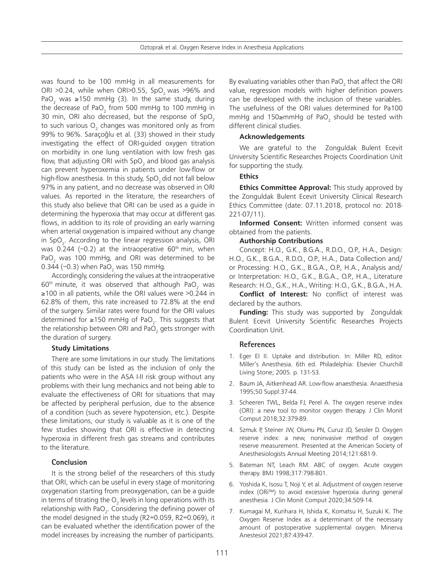was found to be 100 mmHg in all measurements for ORI >0.24, while when ORI>0.55, SpO<sub>2</sub> was >96% and PaO<sub>2</sub> was ≥150 mmHg (3). In the same study, during the decrease of PaO $_{\rm 2}$  from 500 mmHg to 100 mmHg in 30 min, ORI also decreased, but the response of SpO<sub>2</sub> to such various  ${\mathsf O}_{_{\!2}}$  changes was monitored only as from 99% to 96%. Saraçoğlu et al. (33) showed in their study investigating the effect of ORI-guided oxygen titration on morbidity in one lung ventilation with low fresh gas flow, that adjusting ORI with SpO $_2$  and blood gas analysis can prevent hyperoxemia in patients under low-flow or high-flow anesthesia. In this study, SpO<sub>2</sub> did not fall below 97% in any patient, and no decrease was observed in ORI values. As reported in the literature, the researchers of this study also believe that ORI can be used as a guide in determining the hyperoxia that may occur at different gas flows, in addition to its role of providing an early warning when arterial oxygenation is impaired without any change in SpO<sub>2</sub>. According to the linear regression analysis, ORI was 0.244 ( $\sim$ 0.2) at the intraoperative 60<sup>th</sup> min, when PaO<sub>2</sub> was 100 mmHg, and ORI was determined to be 0.344 (~0.3) when PaO<sub>2</sub> was 150 mmHg.

Accordingly, considering the values at the intraoperative 60<sup>th</sup> minute, it was observed that although PaO<sub>2</sub> was ≥100 in all patients, while the ORI values were >0.244 in 62.8% of them, this rate increased to 72.8% at the end of the surgery. Similar rates were found for the ORI values determined for ≥150 mmHg of PaO<sub>2</sub>. This suggests that the relationship between ORI and PaO<sub>2</sub> gets stronger with the duration of surgery.

## **Study Limitations**

There are some limitations in our study. The limitations of this study can be listed as the inclusion of only the patients who were in the ASA I-II risk group without any problems with their lung mechanics and not being able to evaluate the effectiveness of ORI for situations that may be affected by peripheral perfusion, due to the absence of a condition (such as severe hypotension, etc.). Despite these limitations, our study is valuable as it is one of the few studies showing that ORI is effective in detecting hyperoxia in different fresh gas streams and contributes to the literature.

#### **Conclusion**

It is the strong belief of the researchers of this study that ORI, which can be useful in every stage of monitoring oxygenation starting from preoxygenation, can be a guide in terms of titrating the O<sub>2</sub> levels in long operations with its relationship with PaO<sub>2</sub>. Considering the defining power of the model designed in the study (R2=0.059, R2=0.069), it can be evaluated whether the identification power of the model increases by increasing the number of participants.

By evaluating variables other than PaO<sub>2</sub> that affect the ORI value, regression models with higher definition powers can be developed with the inclusion of these variables. The usefulness of the ORI values determined for Pa100 mmHg and 150≥mmHg of PaO<sub>2</sub> should be tested with different clinical studies.

## **Acknowledgements**

We are grateful to the Zonguldak Bulent Ecevit University Scientific Researches Projects Coordination Unit for supporting the study.

## **Ethics**

**Ethics Committee Approval:** This study approved by the Zonguldak Bulent Ecevit University Clinical Research Ethics Committee (date: 07.11.2018, protocol no: 2018- 221-07/11).

**Informed Consent:** Written informed consent was obtained from the patients.

#### **Authorship Contributions**

Concept: H.O., G.K., B.G.A., R.D.O., O.P., H.A., Design: H.O., G.K., B.G.A., R.D.O., O.P., H.A., Data Collection and/ or Processing: H.O., G.K., B.G.A., O.P., H.A., Analysis and/ or Interpretation: H.O., G.K., B.G.A., O.P., H.A., Literature Research: H.O., G.K., H.A., Writing: H.O., G.K., B.G.A., H.A.

**Conflict of Interest:** No conflict of interest was declared by the authors.

**Funding:** This study was supported by Zonguldak Bulent Ecevit University Scientific Researches Projects Coordination Unit.

## **References**

- 1. Eger EI II. Uptake and distribution. In: Miller RD, editor. Miller's Anesthesia. 6th ed. Philadelphia: Elsevier Churchill Living Stone; 2005. p. 131-53.
- 2. Baum JA, Aitkenhead AR. Low-flow anaesthesia. Anaesthesia 1995;50 Suppl:37-44.
- 3. Scheeren TWL, Belda FJ, Perel A. The oxygen reserve index (ORI): a new tool to monitor oxygen therapy. J Clin Monit Comput 2018;32:379-89.
- 4. Szmuk P, Steiner JW, Olumu PN, Curuz JD, Sessler D. Oxygen reserve index: a new, noninvasive method of oxygen reserve measurement. Presented at the American Society of Anesthesiologists Annual Meeting 2014;121:681-9.
- 5. Bateman NT, Leach RM. ABC of oxygen. Acute oxygen therapy. BMJ 1998;317:798-801.
- 6. Yoshida K, Isosu T, Noji Y, et al. Adjustment of oxygen reserve index (ORi™) to avoid excessive hyperoxia during general anesthesia. J Clin Monit Comput 2020;34:509-14.
- 7. Kumagai M, Kurihara H, Ishida K, Komatsu H, Suzuki K. The Oxygen Reserve Index as a determinant of the necessary amount of postoperative supplemental oxygen. Minerva Anestesiol 2021;87:439-47.